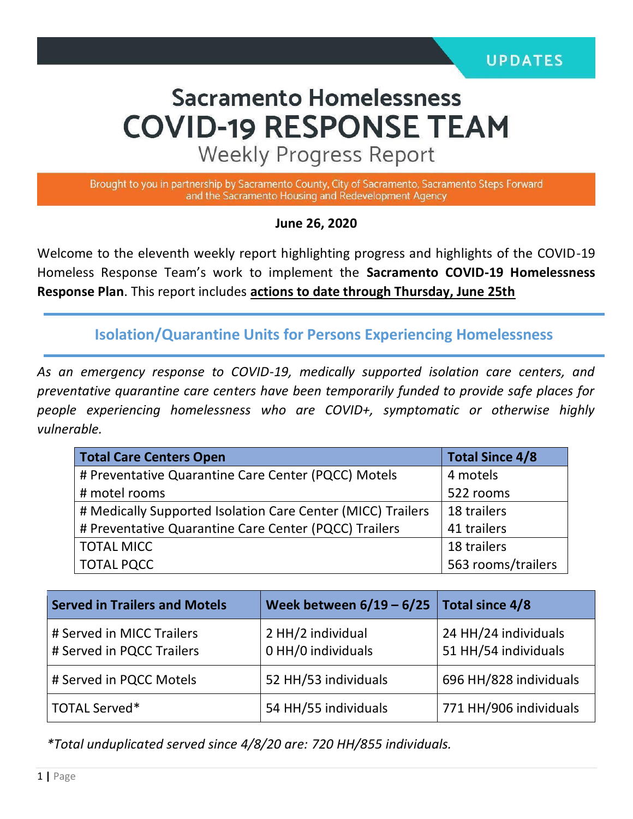# **Sacramento Homelessness COVID-19 RESPONSE TEAM**

**Weekly Progress Report** 

Brought to you in partnership by Sacramento County, City of Sacramento, Sacramento Steps Forward and the Sacramento Housing and Redevelopment Agency

#### **June 26, 2020**

Welcome to the eleventh weekly report highlighting progress and highlights of the COVID-19 Homeless Response Team's work to implement the **Sacramento COVID-19 Homelessness Response Plan**. This report includes **actions to date through Thursday, June 25th**

**Isolation/Quarantine Units for Persons Experiencing Homelessness**

*As an emergency response to COVID-19, medically supported isolation care centers, and preventative quarantine care centers have been temporarily funded to provide safe places for people experiencing homelessness who are COVID+, symptomatic or otherwise highly vulnerable.*

| <b>Total Care Centers Open</b>                              | <b>Total Since 4/8</b> |  |
|-------------------------------------------------------------|------------------------|--|
| # Preventative Quarantine Care Center (PQCC) Motels         | 4 motels               |  |
| # motel rooms                                               | 522 rooms              |  |
| # Medically Supported Isolation Care Center (MICC) Trailers | 18 trailers            |  |
| # Preventative Quarantine Care Center (PQCC) Trailers       | 41 trailers            |  |
| <b>TOTAL MICC</b>                                           | 18 trailers            |  |
| <b>TOTAL PQCC</b>                                           | 563 rooms/trailers     |  |

| <b>Served in Trailers and Motels</b>                   | Week between $6/19 - 6/25$ Total since 4/8 |                                              |
|--------------------------------------------------------|--------------------------------------------|----------------------------------------------|
| # Served in MICC Trailers<br># Served in PQCC Trailers | 2 HH/2 individual<br>0 HH/0 individuals    | 24 HH/24 individuals<br>51 HH/54 individuals |
| # Served in PQCC Motels                                | 52 HH/53 individuals                       | 696 HH/828 individuals                       |
| TOTAL Served*                                          | 54 HH/55 individuals                       | 771 HH/906 individuals                       |

*\*Total unduplicated served since 4/8/20 are: 720 HH/855 individuals.*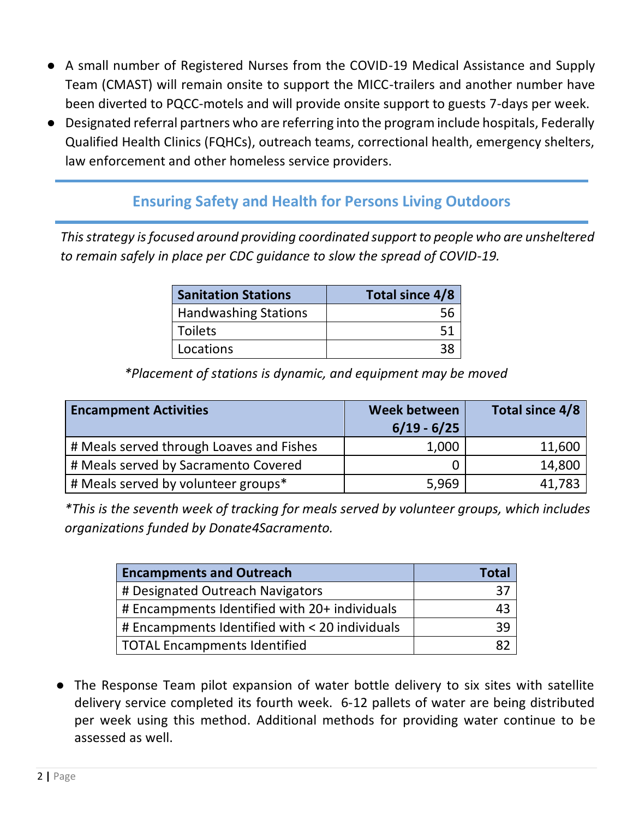- A small number of Registered Nurses from the COVID-19 Medical Assistance and Supply Team (CMAST) will remain onsite to support the MICC-trailers and another number have been diverted to PQCC-motels and will provide onsite support to guests 7-days per week.
- Designated referral partners who are referring into the program include hospitals, Federally Qualified Health Clinics (FQHCs), outreach teams, correctional health, emergency shelters, law enforcement and other homeless service providers.

### **Ensuring Safety and Health for Persons Living Outdoors**

*This strategy is focused around providing coordinated support to people who are unsheltered to remain safely in place per CDC guidance to slow the spread of COVID-19.*

| <b>Sanitation Stations</b>  | Total since 4/8 |  |  |
|-----------------------------|-----------------|--|--|
| <b>Handwashing Stations</b> |                 |  |  |
| <b>Toilets</b>              | 51              |  |  |
| Locations                   | 38              |  |  |

*\*Placement of stations is dynamic, and equipment may be moved*

| <b>Encampment Activities</b>             | Week between<br>$6/19 - 6/25$ | Total since 4/8 |
|------------------------------------------|-------------------------------|-----------------|
| # Meals served through Loaves and Fishes | 1,000                         | 11,600          |
| # Meals served by Sacramento Covered     |                               | 14,800          |
| # Meals served by volunteer groups*      | 5,969                         | 41,783          |

*\*This is the seventh week of tracking for meals served by volunteer groups, which includes organizations funded by Donate4Sacramento.* 

| <b>Encampments and Outreach</b>                | Tota |
|------------------------------------------------|------|
| # Designated Outreach Navigators               |      |
| # Encampments Identified with 20+ individuals  |      |
| # Encampments Identified with < 20 individuals |      |
| TOTAL Encampments Identified                   |      |

● The Response Team pilot expansion of water bottle delivery to six sites with satellite delivery service completed its fourth week. 6-12 pallets of water are being distributed per week using this method. Additional methods for providing water continue to be assessed as well.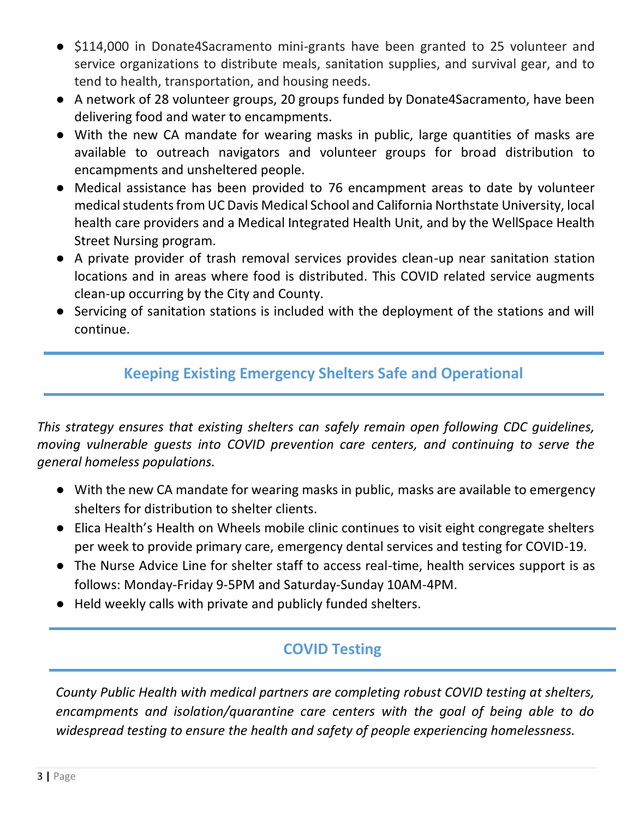- \$114,000 in Donate4Sacramento mini-grants have been granted to 25 volunteer and service organizations to distribute meals, sanitation supplies, and survival gear, and to tend to health, transportation, and housing needs.
- A network of 28 volunteer groups, 20 groups funded by Donate4Sacramento, have been delivering food and water to encampments.
- With the new CA mandate for wearing masks in public, large quantities of masks are available to outreach navigators and volunteer groups for broad distribution to encampments and unsheltered people.
- Medical assistance has been provided to 76 encampment areas to date by volunteer medical students from UC Davis Medical School and California Northstate University, local health care providers and a Medical Integrated Health Unit, and by the WellSpace Health Street Nursing program.
- A private provider of trash removal services provides clean-up near sanitation station locations and in areas where food is distributed. This COVID related service augments clean-up occurring by the City and County.
- Servicing of sanitation stations is included with the deployment of the stations and will continue.

## **Keeping Existing Emergency Shelters Safe and Operational**

*This strategy ensures that existing shelters can safely remain open following CDC guidelines, moving vulnerable guests into COVID prevention care centers, and continuing to serve the general homeless populations.* 

- With the new CA mandate for wearing masks in public, masks are available to emergency shelters for distribution to shelter clients.
- Elica Health's Health on Wheels mobile clinic continues to visit eight congregate shelters per week to provide primary care, emergency dental services and testing for COVID-19.
- The Nurse Advice Line for shelter staff to access real-time, health services support is as follows: Monday-Friday 9-5PM and Saturday-Sunday 10AM-4PM.
- Held weekly calls with private and publicly funded shelters.

### **COVID Testing**

*County Public Health with medical partners are completing robust COVID testing at shelters, encampments and isolation/quarantine care centers with the goal of being able to do widespread testing to ensure the health and safety of people experiencing homelessness.*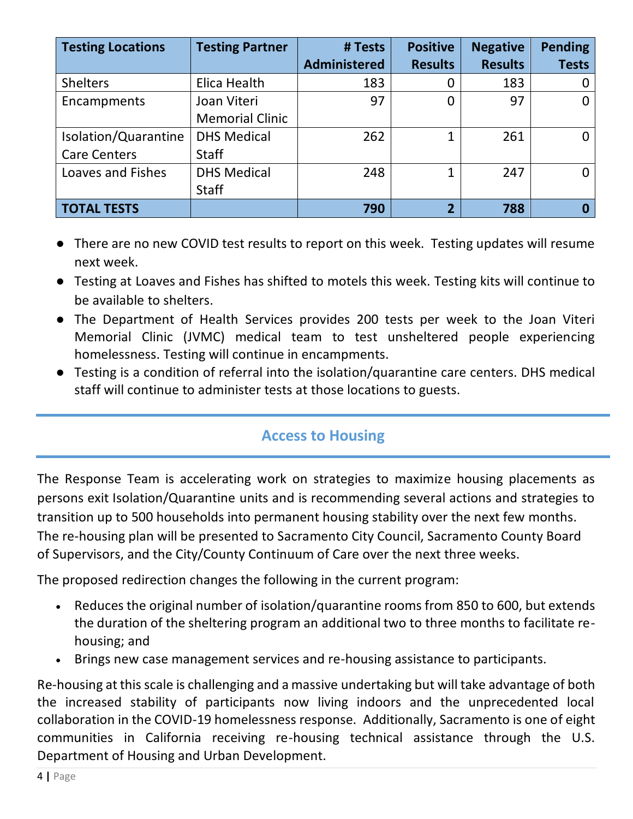| <b>Testing Locations</b> | <b>Testing Partner</b> | # Tests             | <b>Positive</b> | <b>Negative</b> | <b>Pending</b> |
|--------------------------|------------------------|---------------------|-----------------|-----------------|----------------|
|                          |                        | <b>Administered</b> | <b>Results</b>  | <b>Results</b>  | <b>Tests</b>   |
| <b>Shelters</b>          | Elica Health           | 183                 | 0               | 183             |                |
| Encampments              | Joan Viteri            | 97                  | 0               | 97              | 0              |
|                          | <b>Memorial Clinic</b> |                     |                 |                 |                |
| Isolation/Quarantine     | <b>DHS Medical</b>     | 262                 | 1               | 261             | 0              |
| <b>Care Centers</b>      | <b>Staff</b>           |                     |                 |                 |                |
| Loaves and Fishes        | <b>DHS Medical</b>     | 248                 | 1               | 247             | <sup>0</sup>   |
|                          | <b>Staff</b>           |                     |                 |                 |                |
| <b>TOTAL TESTS</b>       |                        | 790                 | $\overline{2}$  | 788             | 0              |

- There are no new COVID test results to report on this week. Testing updates will resume next week.
- Testing at Loaves and Fishes has shifted to motels this week. Testing kits will continue to be available to shelters.
- The Department of Health Services provides 200 tests per week to the Joan Viteri Memorial Clinic (JVMC) medical team to test unsheltered people experiencing homelessness. Testing will continue in encampments.
- Testing is a condition of referral into the isolation/quarantine care centers. DHS medical staff will continue to administer tests at those locations to guests.

# **Access to Housing**

The Response Team is accelerating work on strategies to maximize housing placements as persons exit Isolation/Quarantine units and is recommending several actions and strategies to transition up to 500 households into permanent housing stability over the next few months. The re-housing plan will be presented to Sacramento City Council, Sacramento County Board of Supervisors, and the City/County Continuum of Care over the next three weeks.

The proposed redirection changes the following in the current program:

- Reduces the original number of isolation/quarantine rooms from 850 to 600, but extends the duration of the sheltering program an additional two to three months to facilitate rehousing; and
- Brings new case management services and re-housing assistance to participants.

Re-housing at this scale is challenging and a massive undertaking but will take advantage of both the increased stability of participants now living indoors and the unprecedented local collaboration in the COVID-19 homelessness response. Additionally, Sacramento is one of eight communities in California receiving re-housing technical assistance through the U.S. Department of Housing and Urban Development.